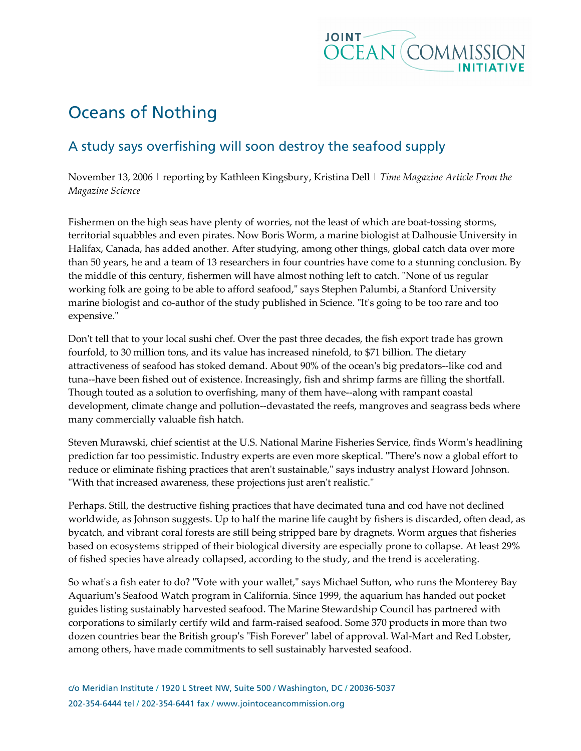

## Oceans of Nothing

## A study says overfishing will soon destroy the seafood supply

November 13, 2006 | reporting by Kathleen Kingsbury, Kristina Dell | Time Magazine Article From the Magazine Science

Fishermen on the high seas have plenty of worries, not the least of which are boat-tossing storms, territorial squabbles and even pirates. Now Boris Worm, a marine biologist at Dalhousie University in Halifax, Canada, has added another. After studying, among other things, global catch data over more than 50 years, he and a team of 13 researchers in four countries have come to a stunning conclusion. By the middle of this century, fishermen will have almost nothing left to catch. "None of us regular working folk are going to be able to afford seafood," says Stephen Palumbi, a Stanford University marine biologist and co-author of the study published in Science. "It's going to be too rare and too expensive."

Don't tell that to your local sushi chef. Over the past three decades, the fish export trade has grown fourfold, to 30 million tons, and its value has increased ninefold, to \$71 billion. The dietary attractiveness of seafood has stoked demand. About 90% of the ocean's big predators--like cod and tuna--have been fished out of existence. Increasingly, fish and shrimp farms are filling the shortfall. Though touted as a solution to overfishing, many of them have--along with rampant coastal development, climate change and pollution--devastated the reefs, mangroves and seagrass beds where many commercially valuable fish hatch.

Steven Murawski, chief scientist at the U.S. National Marine Fisheries Service, finds Worm's headlining prediction far too pessimistic. Industry experts are even more skeptical. "There's now a global effort to reduce or eliminate fishing practices that aren't sustainable," says industry analyst Howard Johnson. "With that increased awareness, these projections just aren't realistic."

Perhaps. Still, the destructive fishing practices that have decimated tuna and cod have not declined worldwide, as Johnson suggests. Up to half the marine life caught by fishers is discarded, often dead, as bycatch, and vibrant coral forests are still being stripped bare by dragnets. Worm argues that fisheries based on ecosystems stripped of their biological diversity are especially prone to collapse. At least 29% of fished species have already collapsed, according to the study, and the trend is accelerating.

So what's a fish eater to do? "Vote with your wallet," says Michael Sutton, who runs the Monterey Bay Aquarium's Seafood Watch program in California. Since 1999, the aquarium has handed out pocket guides listing sustainably harvested seafood. The Marine Stewardship Council has partnered with corporations to similarly certify wild and farm-raised seafood. Some 370 products in more than two dozen countries bear the British group's "Fish Forever" label of approval. Wal-Mart and Red Lobster, among others, have made commitments to sell sustainably harvested seafood.